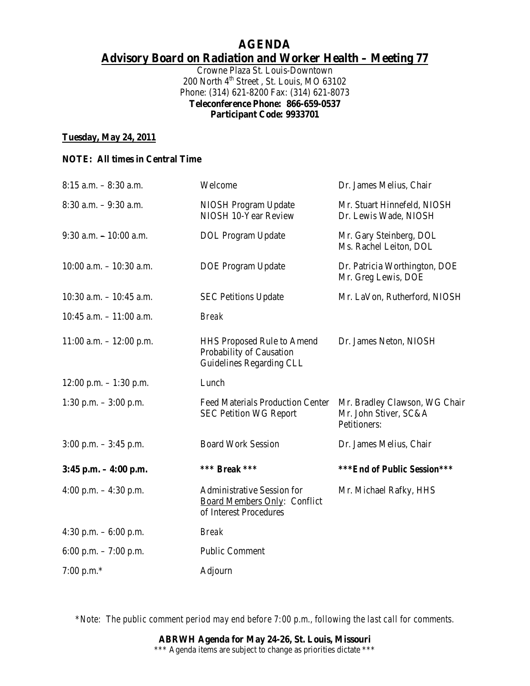## **AGENDA Advisory Board on Radiation and Worker Health – Meeting 77**

Crowne Plaza St. Louis-Downtown 200 North 4<sup>th</sup> Street, St. Louis, MO 63102 Phone: (314) 621-8200 Fax: (314) 621-8073 **Teleconference Phone: 866-659-0537 Participant Code: 9933701** 

#### **Tuesday, May 24, 2011**

#### **NOTE: All times in Central Time**

| $8:15$ a.m. $-8:30$ a.m.    | Welcome                                                                                     | Dr. James Melius, Chair                                                |
|-----------------------------|---------------------------------------------------------------------------------------------|------------------------------------------------------------------------|
| $8:30$ a.m. $-9:30$ a.m.    | NIOSH Program Update<br>NIOSH 10-Year Review                                                | Mr. Stuart Hinnefeld, NIOSH<br>Dr. Lewis Wade, NIOSH                   |
| $9:30$ a.m. $-10:00$ a.m.   | <b>DOL</b> Program Update                                                                   | Mr. Gary Steinberg, DOL<br>Ms. Rachel Leiton, DOL                      |
| $10:00$ a.m. $-10:30$ a.m.  | <b>DOE Program Update</b>                                                                   | Dr. Patricia Worthington, DOE<br>Mr. Greg Lewis, DOE                   |
| $10:30$ a.m. $- 10:45$ a.m. | <b>SEC Petitions Update</b>                                                                 | Mr. LaVon, Rutherford, NIOSH                                           |
| 10:45 a.m. $-11:00$ a.m.    | <b>Break</b>                                                                                |                                                                        |
| $11:00$ a.m. $- 12:00$ p.m. | HHS Proposed Rule to Amend<br>Probability of Causation<br>Guidelines Regarding CLL          | Dr. James Neton, NIOSH                                                 |
| $12:00$ p.m. $-1:30$ p.m.   | Lunch                                                                                       |                                                                        |
| 1:30 p.m. $-3:00$ p.m.      | <b>Feed Materials Production Center</b><br><b>SEC Petition WG Report</b>                    | Mr. Bradley Clawson, WG Chair<br>Mr. John Stiver, SC&A<br>Petitioners: |
| $3:00$ p.m. $-3:45$ p.m.    | <b>Board Work Session</b>                                                                   | Dr. James Melius, Chair                                                |
| $3:45$ p.m. $-4:00$ p.m.    | *** <i>Break</i> ***                                                                        | ***End of Public Session***                                            |
| 4:00 p.m. $-$ 4:30 p.m.     | <b>Administrative Session for</b><br>Board Members Only: Conflict<br>of Interest Procedures | Mr. Michael Rafky, HHS                                                 |
| 4:30 p.m. $-6:00$ p.m.      | <b>Break</b>                                                                                |                                                                        |
| 6:00 p.m. $-7:00$ p.m.      | <b>Public Comment</b>                                                                       |                                                                        |
| 7:00 p.m. $*$               | Adjourn                                                                                     |                                                                        |

*\*Note: The public comment period may end before 7:00 p.m., following the last call for comments.*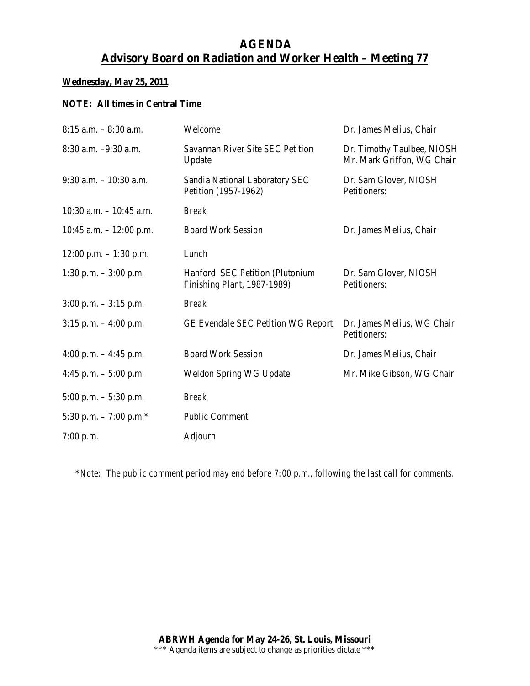# **AGENDA Advisory Board on Radiation and Worker Health – Meeting 77**

## **Wednesday, May 25, 2011**

#### **NOTE: All times in Central Time**

| $8:15$ a.m. $-8:30$ a.m.   | Welcome                                                        | Dr. James Melius, Chair                                  |
|----------------------------|----------------------------------------------------------------|----------------------------------------------------------|
| 8:30 a.m. -9:30 a.m.       | Savannah River Site SEC Petition<br>Update                     | Dr. Timothy Taulbee, NIOSH<br>Mr. Mark Griffon, WG Chair |
| $9:30$ a.m. $-10:30$ a.m.  | Sandia National Laboratory SEC<br>Petition (1957-1962)         | Dr. Sam Glover, NIOSH<br>Petitioners:                    |
| $10:30$ a.m. $-10:45$ a.m. | <b>Break</b>                                                   |                                                          |
| 10:45 a.m. $- 12:00$ p.m.  | <b>Board Work Session</b>                                      | Dr. James Melius, Chair                                  |
| $12:00$ p.m. $-1:30$ p.m.  | Lunch                                                          |                                                          |
| 1:30 p.m. $-3:00$ p.m.     | Hanford SEC Petition (Plutonium<br>Finishing Plant, 1987-1989) | Dr. Sam Glover, NIOSH<br>Petitioners:                    |
| $3:00$ p.m. $-3:15$ p.m.   | <b>Break</b>                                                   |                                                          |
| $3:15$ p.m. $-4:00$ p.m.   | <b>GE Evendale SEC Petition WG Report</b>                      | Dr. James Melius, WG Chair<br>Petitioners:               |
| 4:00 p.m. $-4:45$ p.m.     | <b>Board Work Session</b>                                      | Dr. James Melius, Chair                                  |
| 4:45 p.m. $-$ 5:00 p.m.    | Weldon Spring WG Update                                        | Mr. Mike Gibson, WG Chair                                |
| $5:00$ p.m. $-5:30$ p.m.   | <b>Break</b>                                                   |                                                          |
| 5:30 p.m. $-7:00$ p.m.*    | <b>Public Comment</b>                                          |                                                          |
| $7:00$ p.m.                | Adjourn                                                        |                                                          |

*\*Note: The public comment period may end before 7:00 p.m., following the last call for comments.*